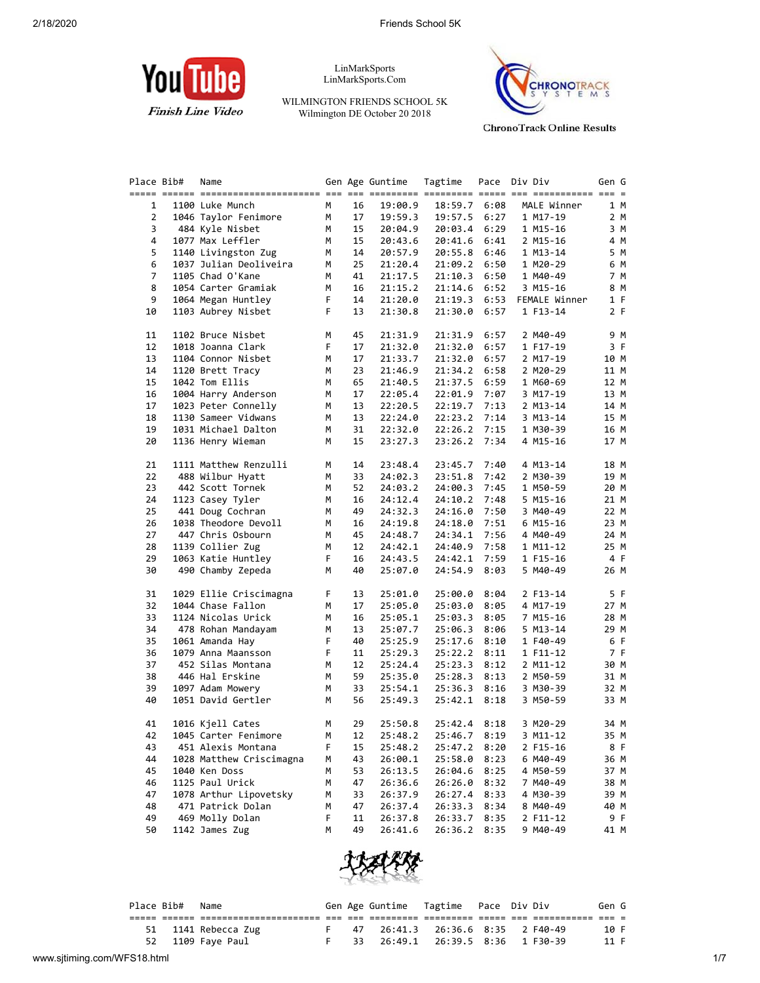

LinMarkSports LinMarkSports.Com

WILMINGTON FRIENDS SCHOOL 5K Wilmington DE October 20 2018



**ChronoTrack Online Results** 

| Place Bib# | Name                     |    |    | Gen Age Guntime | Tagtime      |      | Pace Div Div         | Gen G |
|------------|--------------------------|----|----|-----------------|--------------|------|----------------------|-------|
| 1          | 1100 Luke Munch          | М  | 16 | 19:00.9         | 18:59.7      | 6:08 | MALE Winner          | 1 M   |
| 2          | 1046 Taylor Fenimore     | М  | 17 | 19:59.3         | 19:57.5      | 6:27 | 1 M17-19             | 2 M   |
| 3          | 484 Kyle Nisbet          | М  | 15 | 20:04.9         | 20:03.4 6:29 |      | 1 M15-16             | 3 M   |
| 4          | 1077 Max Leffler         | М  | 15 | 20:43.6         | 20:41.6      | 6:41 | 2 M15-16             | 4 M   |
| 5          | 1140 Livingston Zug      | М  | 14 | 20:57.9         | 20:55.8      | 6:46 | 1 M13-14             | 5 M   |
| 6          | 1037 Julian Deoliveira   | М  | 25 | 21:20.4         | 21:09.2      | 6:50 | 1 M20-29             | 6 M   |
| 7          | 1105 Chad O'Kane         | М  | 41 | 21:17.5         | 21:10.3      | 6:50 | 1 M40-49             | 7 M   |
| 8          | 1054 Carter Gramiak      | М  | 16 | 21:15.2         | 21:14.6 6:52 |      | 3 M15-16             | 8 M   |
| 9          | 1064 Megan Huntley       | F  | 14 | 21:20.0         | 21:19.3      | 6:53 | FEMALE Winner        | 1 F   |
| 10         | 1103 Aubrey Nisbet       | F  | 13 | 21:30.8         | 21:30.0 6:57 |      | 1 F13-14             | 2 F   |
| 11         | 1102 Bruce Nisbet        | М  | 45 | 21:31.9         | 21:31.9      | 6:57 | 2 M40-49             | 9 M   |
| 12         | 1018 Joanna Clark        | F  | 17 | 21:32.0         | 21:32.0      | 6:57 | 1 F17-19             | 3 F   |
| 13         | 1104 Connor Nisbet       | М  | 17 | 21:33.7         | 21:32.0      | 6:57 | 2 M17-19             | 10 M  |
| 14         | 1120 Brett Tracy         | М  | 23 | 21:46.9         | 21:34.2 6:58 |      | 2 M20-29             | 11 M  |
| 15         | 1042 Tom Ellis           | М  | 65 | 21:40.5         | 21:37.5      | 6:59 | 1 M60-69             | 12 M  |
| 16         | 1004 Harry Anderson      | М  | 17 | 22:05.4         | 22:01.9 7:07 |      | 3 M17-19             | 13 M  |
| 17         | 1023 Peter Connelly      | М  | 13 | 22:20.5         | 22:19.7 7:13 |      | 2 M13-14             | 14 M  |
| 18         | 1130 Sameer Vidwans      | М  | 13 | 22:24.0         | 22:23.2 7:14 |      | 3 M13-14             | 15 M  |
| 19         | 1031 Michael Dalton      | М  | 31 | 22:32.0         | 22:26.2 7:15 |      |                      | 16 M  |
| 20         | 1136 Henry Wieman        | M  | 15 | 23:27.3         | 23:26.2 7:34 |      | 1 M30-39<br>4 M15-16 | 17 M  |
| 21         | 1111 Matthew Renzulli    | М  | 14 | 23:48.4         | 23:45.7      | 7:40 | 4 M13-14             | 18 M  |
| 22         | 488 Wilbur Hyatt         | М  | 33 | 24:02.3         | 23:51.8      | 7:42 | 2 M30-39             | 19 M  |
| 23         | 442 Scott Tornek         | М  | 52 | 24:03.2         | 24:00.3 7:45 |      | 1 M50-59             | 20 M  |
| 24         | 1123 Casey Tyler         | М  | 16 | 24:12.4         | 24:10.2      | 7:48 | 5 M15-16             | 21 M  |
| 25         | 441 Doug Cochran         | М  | 49 | 24:32.3         | 24:16.0      | 7:50 | 3 M40-49             | 22 M  |
| 26         | 1038 Theodore Devoll     | М  | 16 | 24:19.8         | 24:18.0      | 7:51 | 6 M15-16             | 23 M  |
| 27         | 447 Chris Osbourn        | М  | 45 | 24:48.7         | 24:34.1 7:56 |      | 4 M40-49             | 24 M  |
| 28         | 1139 Collier Zug         | М  | 12 | 24:42.1         | 24:40.9      | 7:58 | 1 M11-12             | 25 M  |
| 29         | 1063 Katie Huntley       | F. | 16 | 24:43.5         | 24:42.1      | 7:59 | 1 F15-16             | 4 F   |
| 30         | 490 Chamby Zepeda        | М  | 40 | 25:07.0         | 24:54.9 8:03 |      | 5 M40-49             | 26 M  |
| 31         | 1029 Ellie Criscimagna   | F. | 13 | 25:01.0         | 25:00.0      | 8:04 | 2 F13-14             | 5 F   |
| 32         | 1044 Chase Fallon        | м  | 17 | 25:05.0         | 25:03.0      | 8:05 | 4 M17-19             | 27 M  |
| 33         | 1124 Nicolas Urick       | М  | 16 | 25:05.1         | 25:03.3      | 8:05 | 7 M15-16             | 28 M  |
| 34         | 478 Rohan Mandayam       | М  | 13 | 25:07.7         | 25:06.3      | 8:06 | 5 M13-14             | 29 M  |
| 35         | 1061 Amanda Hay          | F. | 40 | 25:25.9         | 25:17.6      | 8:10 | 1 F40-49             | 6 F   |
| 36         | 1079 Anna Maansson       | F  | 11 | 25:29.3         | 25:22.2 8:11 |      | 1 F11-12             | 7 F   |
| 37         | 452 Silas Montana        | М  | 12 | 25:24.4         | 25:23.3      | 8:12 | 2 M11-12             | 30 M  |
| 38         | 446 Hal Erskine          | М  | 59 | 25:35.0         | 25:28.3      | 8:13 | 2 M50-59             | 31 M  |
| 39         | 1097 Adam Mowery         | М  | 33 | 25:54.1         | 25:36.3      | 8:16 | 3 M30-39             | 32 M  |
| 40         | 1051 David Gertler       | М  | 56 | 25:49.3         | 25:42.1      | 8:18 | 3 M50-59             | 33 M  |
| 41         | 1016 Kjell Cates         | М  | 29 | 25:50.8         | 25:42.4 8:18 |      | 3 M20-29             | 34 M  |
| 42         | 1045 Carter Fenimore     | M  | 12 | 25:48.2         | 25:46.7 8:19 |      | 3 M11-12             | 35 M  |
| 43         | 451 Alexis Montana       | F  | 15 | 25:48.2         | 25:47.2 8:20 |      | 2 F15-16             | 8 F   |
| 44         | 1028 Matthew Criscimagna | М  | 43 | 26:00.1         | 25:58.0      | 8:23 | 6 M40-49             | 36 M  |
| 45         | 1040 Ken Doss            | М  | 53 | 26:13.5         | 26:04.6      | 8:25 | 4 M50-59             | 37 M  |
| 46         | 1125 Paul Urick          | м  | 47 | 26:36.6         | 26:26.0      | 8:32 | 7 M40-49             | 38 M  |
| 47         | 1078 Arthur Lipovetsky   | м  | 33 | 26:37.9         | 26:27.4      | 8:33 | 4 M30-39             | 39 M  |
| 48         | 471 Patrick Dolan        | м  | 47 | 26:37.4         | 26:33.3      | 8:34 | 8 M40-49             | 40 M  |
| 49         | 469 Molly Dolan          | F  | 11 | 26:37.8         | 26:33.7      | 8:35 | 2 F11-12             | 9 F   |
| 50         | 1142 James Zug           |    | 49 | 26:41.6         | 26:36.2      | 8:35 | 9 M40-49             | 41 M  |
|            |                          | м  |    |                 |              |      |                      |       |



|  | Place Bib# | Name                |  | Gen Age Guntime Tagtime Pace Div Div |  |  | Gen G |  |
|--|------------|---------------------|--|--------------------------------------|--|--|-------|--|
|  |            |                     |  |                                      |  |  |       |  |
|  |            | 51 1141 Rebecca Zug |  | F 47 26:41.3 26:36.6 8:35 2 F40-49   |  |  | 10 F  |  |
|  |            | 52 1109 Faye Paul   |  | F 33 26:49.1 26:39.5 8:36 1 F30-39   |  |  | 11 F  |  |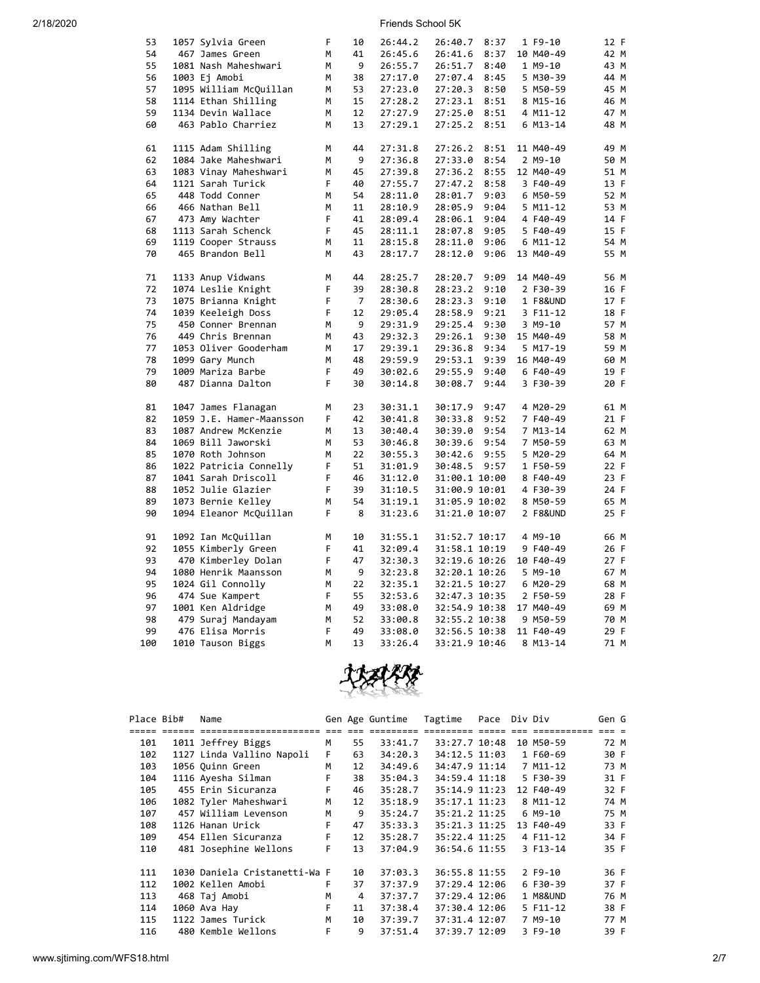| 53  | 1057 Sylvia Green        | F  | 10             | 26:44.2 |               | 8:37 | 1 F9-10   |      |
|-----|--------------------------|----|----------------|---------|---------------|------|-----------|------|
|     |                          |    |                |         | 26:40.7       |      |           | 12 F |
| 54  | 467 James Green          | M  | 41             | 26:45.6 | 26:41.6       | 8:37 | 10 M40-49 | 42 M |
| 55  | 1081 Nash Maheshwari     | М  | 9              | 26:55.7 | 26:51.7       | 8:40 | 1 M9-10   | 43 M |
| 56  | 1003 Ej Amobi            | м  | 38             | 27:17.0 | 27:07.4       | 8:45 | 5 M30-39  | 44 M |
| 57  | 1095 William McQuillan   | M  | 53             | 27:23.0 | 27:20.3       | 8:50 | 5 M50-59  | 45 M |
| 58  | 1114 Ethan Shilling      | M  | 15             | 27:28.2 | 27:23.1       | 8:51 | 8 M15-16  | 46 M |
| 59  | 1134 Devin Wallace       | M  | 12             | 27:27.9 | 27:25.0 8:51  |      | 4 M11-12  | 47 M |
| 60  | 463 Pablo Charriez       | M  | 13             | 27:29.1 | 27:25.2       | 8:51 | 6 M13-14  | 48 M |
| 61  | 1115 Adam Shilling       | M  | 44             | 27:31.8 | 27:26.2       | 8:51 | 11 M40-49 | 49 M |
| 62  | 1084 Jake Maheshwari     | М  | 9              | 27:36.8 | 27:33.0       | 8:54 | 2 M9-10   | 50 M |
| 63  | 1083 Vinay Maheshwari    | M  | 45             | 27:39.8 | 27:36.2       | 8:55 | 12 M40-49 | 51 M |
| 64  | 1121 Sarah Turick        | F  | 40             | 27:55.7 | 27:47.2       | 8:58 | 3 F40-49  | 13 F |
| 65  | 448 Todd Conner          | M  | 54             | 28:11.0 | 28:01.7       | 9:03 | 6 M50-59  | 52 M |
| 66  | 466 Nathan Bell          | M  | 11             | 28:10.9 | 28:05.9       | 9:04 | 5 M11-12  | 53 M |
| 67  | 473 Amy Wachter          | F  | 41             | 28:09.4 | 28:06.1       | 9:04 | 4 F40-49  | 14 F |
| 68  | 1113 Sarah Schenck       | F  | 45             | 28:11.1 | 28:07.8       | 9:05 | 5 F40-49  | 15 F |
| 69  | 1119 Cooper Strauss      | M  | 11             | 28:15.8 | 28:11.0       | 9:06 | 6 M11-12  | 54 M |
| 70  | 465 Brandon Bell         | M  | 43             | 28:17.7 | 28:12.0       | 9:06 | 13 M40-49 | 55 M |
|     |                          |    |                |         |               |      |           |      |
| 71  | 1133 Anup Vidwans        | M  | 44             | 28:25.7 | 28:20.7       | 9:09 | 14 M40-49 | 56 M |
| 72  | 1074 Leslie Knight       | F  | 39             | 28:30.8 | 28:23.2       | 9:10 | 2 F30-39  | 16 F |
| 73  | 1075 Brianna Knight      | F  | $\overline{7}$ | 28:30.6 | 28:23.3       | 9:10 | 1 F8&UND  | 17 F |
| 74  | 1039 Keeleigh Doss       | F  | 12             | 29:05.4 | 28:58.9       | 9:21 | 3 F11-12  | 18 F |
| 75  | 450 Conner Brennan       | М  | 9              | 29:31.9 | 29:25.4       | 9:30 | 3 M9-10   | 57 M |
| 76  | 449 Chris Brennan        | M  | 43             | 29:32.3 | 29:26.1       | 9:30 | 15 M40-49 | 58 M |
| 77  | 1053 Oliver Gooderham    | М  | 17             | 29:39.1 | 29:36.8       | 9:34 | 5 M17-19  | 59 M |
| 78  | 1099 Gary Munch          | M  | 48             | 29:59.9 | 29:53.1       | 9:39 | 16 M40-49 | 60 M |
| 79  | 1009 Mariza Barbe        | F. | 49             |         |               | 9:40 |           |      |
|     |                          |    |                | 30:02.6 | 29:55.9       |      | 6 F40-49  | 19 F |
| 80  | 487 Dianna Dalton        | F  | 30             | 30:14.8 | 30:08.7       | 9:44 | 3 F30-39  | 20 F |
| 81  | 1047 James Flanagan      | м  | 23             | 30:31.1 | 30:17.9       | 9:47 | 4 M20-29  | 61 M |
| 82  | 1059 J.E. Hamer-Maansson | F  | 42             | 30:41.8 | 30:33.8       | 9:52 | 7 F40-49  | 21 F |
| 83  | 1087 Andrew McKenzie     | M  | 13             | 30:40.4 | 30:39.0       | 9:54 | 7 M13-14  | 62 M |
| 84  | 1069 Bill Jaworski       | M  | 53             | 30:46.8 | 30:39.6       | 9:54 | 7 M50-59  | 63 M |
| 85  | 1070 Roth Johnson        | M  | 22             | 30:55.3 | 30:42.6       | 9:55 | 5 M20-29  | 64 M |
| 86  | 1022 Patricia Connelly   | F  | 51             | 31:01.9 | 30:48.5       | 9:57 | 1 F50-59  | 22 F |
| 87  | 1041 Sarah Driscoll      | F  | 46             | 31:12.0 | 31:00.1 10:00 |      | 8 F40-49  | 23 F |
| 88  | 1052 Julie Glazier       | F  | 39             | 31:10.5 | 31:00.9 10:01 |      | 4 F30-39  | 24 F |
| 89  | 1073 Bernie Kelley       | M  | 54             | 31:19.1 | 31:05.9 10:02 |      | 8 M50-59  | 65 M |
| 90  | 1094 Eleanor McQuillan   | F. | 8              | 31:23.6 | 31:21.0 10:07 |      | 2 F8&UND  | 25 F |
|     |                          |    |                |         |               |      |           |      |
| 91  | 1092 Ian McQuillan       | М  | 10             | 31:55.1 | 31:52.7 10:17 |      | 4 M9-10   | 66 M |
| 92  | 1055 Kimberly Green      | F  | 41             | 32:09.4 | 31:58.1 10:19 |      | 9 F40-49  | 26 F |
| 93  | 470 Kimberley Dolan      | F. | 47             | 32:30.3 | 32:19.6 10:26 |      | 10 F40-49 | 27 F |
| 94  | 1080 Henrik Maansson     | М  | 9              | 32:23.8 | 32:20.1 10:26 |      | 5 M9-10   | 67 M |
| 95  | 1024 Gil Connolly        | M  | 22             | 32:35.1 | 32:21.5 10:27 |      | 6 M20-29  | 68 M |
| 96  | 474 Sue Kampert          | F  | 55             | 32:53.6 | 32:47.3 10:35 |      | 2 F50-59  | 28 F |
| 97  | 1001 Ken Aldridge        | M  | 49             | 33:08.0 | 32:54.9 10:38 |      | 17 M40-49 | 69 M |
| 98  | 479 Suraj Mandayam       | M  | 52             | 33:00.8 | 32:55.2 10:38 |      | 9 M50-59  | 70 M |
| 99  | 476 Elisa Morris         | F  | 49             | 33:08.0 | 32:56.5 10:38 |      | 11 F40-49 | 29 F |
| 100 | 1010 Tauson Biggs        | M  | 13             | 33:26.4 | 33:21.9 10:46 |      | 8 M13-14  | 71 M |



| Place Bib# | Name                          |    |                   | Gen Age Guntime | Tagtime       | Pace | Div Div |           | Gen G    |  |
|------------|-------------------------------|----|-------------------|-----------------|---------------|------|---------|-----------|----------|--|
|            |                               |    |                   |                 |               |      |         |           | $== = =$ |  |
| 101        | 1011 Jeffrey Biggs            | M  | 55                | 33:41.7         | 33:27.7 10:48 |      |         | 10 M50-59 | 72 M     |  |
| 102        | 1127 Linda Vallino Napoli     | F. | 63                | 34:20.3         | 34:12.5 11:03 |      |         | 1 F60-69  | 30 F     |  |
| 103        | 1056 Ouinn Green              | М  | 12                | 34:49.6         | 34:47.9 11:14 |      |         | 7 M11-12  | 73 M     |  |
| 104        | 1116 Ayesha Silman            | F. | 38                | 35:04.3         | 34:59.4 11:18 |      |         | 5 F30-39  | 31 F     |  |
| 105        | 455 Erin Sicuranza            | F. | 46                | 35:28.7         | 35:14.9 11:23 |      |         | 12 F40-49 | 32 F     |  |
| 106        | 1082 Tyler Maheshwari         | М  | $12 \overline{ }$ | 35:18.9         | 35:17.1 11:23 |      |         | 8 M11-12  | 74 M     |  |
| 107        | 457 William Levenson          | М  | 9                 | 35:24.7         | 35:21.2 11:25 |      |         | 6 M9-10   | 75 M     |  |
| 108        | 1126 Hanan Urick              | F. | 47                | 35:33.3         | 35:21.3 11:25 |      |         | 13 F40-49 | 33 F     |  |
| 109        | 454 Ellen Sicuranza           | F. | 12                | 35:28.7         | 35:22.4 11:25 |      |         | 4 F11-12  | 34 F     |  |
| 110        | 481 Josephine Wellons         | F. | 13                | 37:04.9         | 36:54.6 11:55 |      |         | 3 F13-14  | 35 F     |  |
| 111        | 1030 Daniela Cristanetti-Wa F |    | 10                | 37:03.3         | 36:55.8 11:55 |      |         | 2 F9-10   | 36 F     |  |
| 112        | 1002 Kellen Amobi             | F  | 37                | 37:37.9         | 37:29.4 12:06 |      |         | 6 F30-39  | 37 F     |  |
| 113        | 468 Taj Amobi                 | M  | 4                 | 37:37.7         | 37:29.4 12:06 |      |         | 1 M8&UND  | 76 M     |  |
| 114        | 1060 Ava Hay                  | F. | 11                | 37:38.4         | 37:30.4 12:06 |      |         | 5 F11-12  | 38 F     |  |
| 115        | 1122 James Turick             | М  | 10                | 37:39.7         | 37:31.4 12:07 |      |         | 7 M9-10   | 77 M     |  |
| 116        | 480 Kemble Wellons            | F  | 9                 | 37:51.4         | 37:39.7 12:09 |      |         | 3 F9-10   | 39 F     |  |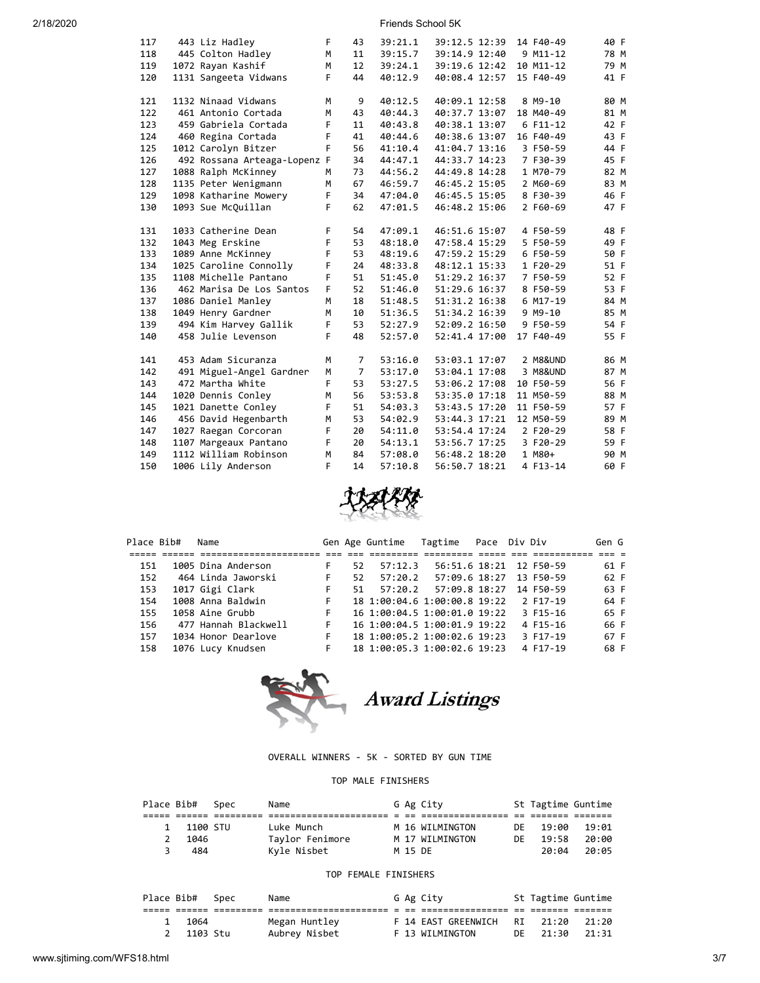| 117 | 443 Liz Hadley               | F | 43             | 39:21.1 | 39:12.5 12:39 |  | 14 F40-49  | 40 F |  |
|-----|------------------------------|---|----------------|---------|---------------|--|------------|------|--|
| 118 | 445 Colton Hadley            | M | 11             | 39:15.7 | 39:14.9 12:40 |  | $9$ M11-12 | 78 M |  |
| 119 | 1072 Rayan Kashif            | M | 12             | 39:24.1 | 39:19.6 12:42 |  | 10 M11-12  | 79 M |  |
| 120 | 1131 Sangeeta Vidwans        | F | 44             | 40:12.9 | 40:08.4 12:57 |  | 15 F40-49  | 41 F |  |
|     |                              |   |                |         |               |  |            |      |  |
| 121 | 1132 Ninaad Vidwans          | M | 9              | 40:12.5 | 40:09.1 12:58 |  | 8 M9-10    | 80 M |  |
| 122 | 461 Antonio Cortada          | M | 43             | 40:44.3 | 40:37.7 13:07 |  | 18 M40-49  | 81 M |  |
| 123 | 459 Gabriela Cortada         | F | 11             | 40:43.8 | 40:38.1 13:07 |  | 6 F11-12   | 42 F |  |
| 124 | 460 Regina Cortada           | F | 41             | 40:44.6 | 40:38.6 13:07 |  | 16 F40-49  | 43 F |  |
| 125 | 1012 Carolyn Bitzer          | F | 56             | 41:10.4 | 41:04.7 13:16 |  | 3 F50-59   | 44 F |  |
| 126 | 492 Rossana Arteaga-Lopenz F |   | 34             | 44:47.1 | 44:33.7 14:23 |  | 7 F30-39   | 45 F |  |
| 127 | 1088 Ralph McKinney          | M | 73             | 44:56.2 | 44:49.8 14:28 |  | 1 M70-79   | 82 M |  |
| 128 | 1135 Peter Wenigmann         | M | 67             | 46:59.7 | 46:45.2 15:05 |  | 2 M60-69   | 83 M |  |
| 129 | 1098 Katharine Mowery        | F | 34             | 47:04.0 | 46:45.5 15:05 |  | 8 F30-39   | 46 F |  |
| 130 | 1093 Sue McQuillan           | F | 62             | 47:01.5 | 46:48.2 15:06 |  | 2 F60-69   | 47 F |  |
|     |                              |   |                |         |               |  |            |      |  |
| 131 | 1033 Catherine Dean          | F | 54             | 47:09.1 | 46:51.6 15:07 |  | 4 F50-59   | 48 F |  |
| 132 | 1043 Meg Erskine             | F | 53             | 48:18.0 | 47:58.4 15:29 |  | 5 F50-59   | 49 F |  |
| 133 | 1089 Anne McKinney           | F | 53             | 48:19.6 | 47:59.2 15:29 |  | 6 F50-59   | 50 F |  |
| 134 | 1025 Caroline Connolly       | F | 24             | 48:33.8 | 48:12.1 15:33 |  | 1 F20-29   | 51 F |  |
| 135 | 1108 Michelle Pantano        | F | 51             | 51:45.0 | 51:29.2 16:37 |  | 7 F50-59   | 52 F |  |
| 136 | 462 Marisa De Los Santos     | F | 52             | 51:46.0 | 51:29.6 16:37 |  | 8 F50-59   | 53 F |  |
| 137 | 1086 Daniel Manley           | м | 18             | 51:48.5 | 51:31.2 16:38 |  | 6 M17-19   | 84 M |  |
| 138 | 1049 Henry Gardner           | M | 10             | 51:36.5 | 51:34.2 16:39 |  | 9 M9-10    | 85 M |  |
| 139 | 494 Kim Harvey Gallik        | F | 53             | 52:27.9 | 52:09.2 16:50 |  | 9 F50-59   | 54 F |  |
| 140 | 458 Julie Levenson           | F | 48             | 52:57.0 | 52:41.4 17:00 |  | 17 F40-49  | 55 F |  |
|     |                              |   |                |         |               |  |            |      |  |
| 141 | 453 Adam Sicuranza           | M | $\overline{7}$ | 53:16.0 | 53:03.1 17:07 |  | 2 M8&UND   | 86 M |  |
| 142 | 491 Miguel-Angel Gardner     | M | $\overline{7}$ | 53:17.0 | 53:04.1 17:08 |  | 3 M8&UND   | 87 M |  |
| 143 | 472 Martha White             | F | 53             | 53:27.5 | 53:06.2 17:08 |  | 10 F50-59  | 56 F |  |
| 144 | 1020 Dennis Conley           | M | 56             | 53:53.8 | 53:35.0 17:18 |  | 11 M50-59  | 88 M |  |
| 145 | 1021 Danette Conley          | F | 51             | 54:03.3 | 53:43.5 17:20 |  | 11 F50-59  | 57 F |  |
| 146 | 456 David Hegenbarth         | M | 53             | 54:02.9 | 53:44.3 17:21 |  | 12 M50-59  | 89 M |  |
| 147 | 1027 Raegan Corcoran         | F | 20             | 54:11.0 | 53:54.4 17:24 |  | 2 F20-29   | 58 F |  |
| 148 | 1107 Margeaux Pantano        | F | 20             | 54:13.1 | 53:56.7 17:25 |  | 3 F20-29   | 59 F |  |
| 149 | 1112 William Robinson        | M | 84             | 57:08.0 | 56:48.2 18:20 |  | 1 M80+     | 90 M |  |
| 150 | 1006 Lily Anderson           | F | 14             | 57:10.8 | 56:50.7 18:21 |  | 4 F13-14   | 60 F |  |
|     |                              |   |                |         |               |  |            |      |  |



| Place Bib# | Name                 |    |     | Gen Age Guntime              | Tagtime Pace Div Div |  |           | Gen G |  |
|------------|----------------------|----|-----|------------------------------|----------------------|--|-----------|-------|--|
|            |                      |    |     |                              |                      |  |           |       |  |
| 151        | 1005 Dina Anderson   | F  | 52. | 57:12.3                      | 56:51.6 18:21        |  | 12 F50-59 | 61 F  |  |
| 152        | 464 Linda Jaworski   | F  | 52. | 57:20.2                      | 57:09.6 18:27        |  | 13 F50-59 | 62 F  |  |
| 153        | 1017 Gigi Clark      | F  | 51. | 57:20.2                      | 57:09.8 18:27        |  | 14 F50-59 | 63 F  |  |
| 154        | 1008 Anna Baldwin    | F  |     | 18 1:00:04.6 1:00:00.8 19:22 |                      |  | 2 F17-19  | 64 F  |  |
| 155        | 1058 Aine Grubb      | F. |     | 16 1:00:04.5 1:00:01.0 19:22 |                      |  | 3 F15-16  | 65 F  |  |
| 156        | 477 Hannah Blackwell | F  |     | 16 1:00:04.5 1:00:01.9 19:22 |                      |  | 4 F15-16  | 66 F  |  |
| 157        | 1034 Honor Dearlove  | F  |     | 18 1:00:05.2 1:00:02.6 19:23 |                      |  | 3 F17-19  | 67 F  |  |
| 158        | 1076 Lucy Knudsen    | F  |     | 18 1:00:05.3 1:00:02.6 19:23 |                      |  | 4 F17-19  | 68 F  |  |



OVERALL WINNERS - 5K - SORTED BY GUN TIME

# TOP MALE FINISHERS

| Place Bib# |          | Spec | Name            |         | G Ag City       |     | St Tagtime Guntime |       |
|------------|----------|------|-----------------|---------|-----------------|-----|--------------------|-------|
|            |          |      |                 |         |                 |     |                    |       |
|            | 1100 STU |      | Luke Munch      |         | M 16 WILMINGTON | DE  | 19:00              | 19:01 |
|            | 1046     |      | Taylor Fenimore |         | M 17 WILMINGTON | DF. | 19:58              | 20:00 |
|            | 484      |      | Kyle Nisbet     | M 15 DE |                 |     | 20:04              | 20:05 |

# TOP FEMALE FINISHERS

| Place Bib#   |          | Spec | Name          |  | G Ag City                                 | St Tagtime Guntime |       |  |
|--------------|----------|------|---------------|--|-------------------------------------------|--------------------|-------|--|
|              |          |      |               |  |                                           |                    |       |  |
| $\mathbf{1}$ | 1064     |      | Megan Huntley |  | F 14 EAST GREENWICH<br>$\cdot$ RI $\cdot$ | 21:20              | 21:20 |  |
|              | 1103 Stu |      | Aubrey Nisbet |  | F 13 WILMINGTON                           | DE 21:30           | 21:31 |  |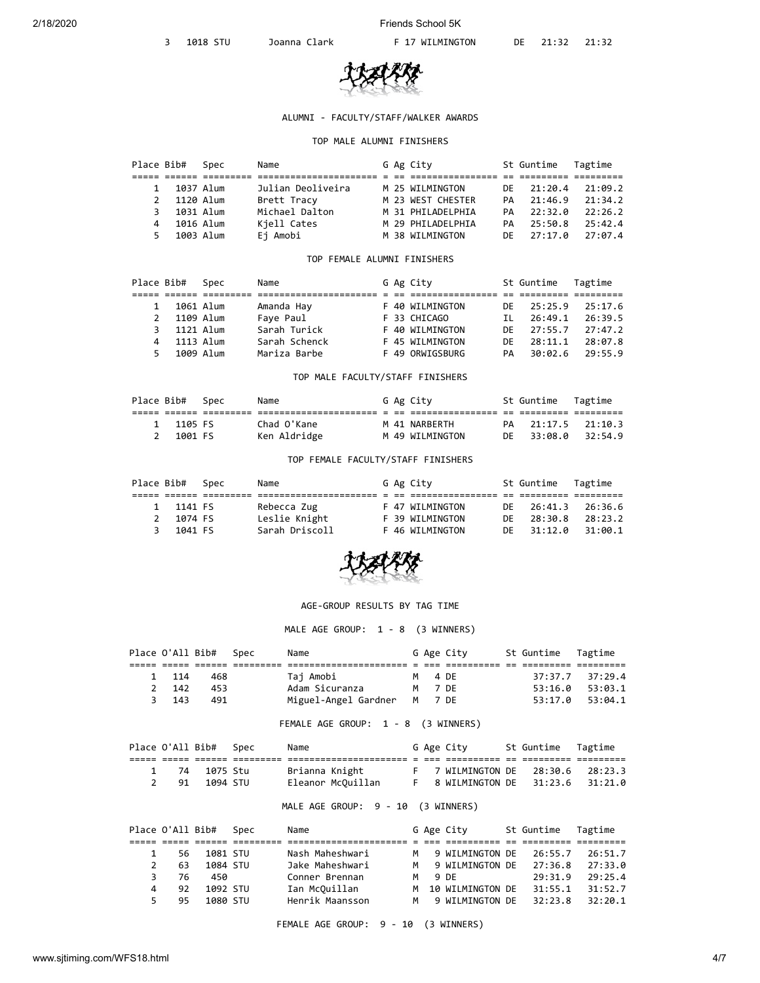

### ALUMNI - FACULTY/STAFF/WALKER AWARDS

### TOP MALE ALUMNI FINISHERS

| Place Bib# | Spec      | Name              |  | G Ag City         |    | St Guntime | Tagtime |
|------------|-----------|-------------------|--|-------------------|----|------------|---------|
|            |           |                   |  |                   |    |            |         |
|            | 1037 Alum | Julian Deoliveira |  | M 25 WILMINGTON   |    | DE 21:20.4 | 21:09.2 |
|            | 1120 Alum | Brett Tracy       |  | M 23 WEST CHESTER | PA | 21:46.9    | 21:34.2 |
|            | 1031 Alum | Michael Dalton    |  | M 31 PHILADELPHIA | PA | 22:32.0    | 22:26.2 |
| 4          | 1016 Alum | Kjell Cates       |  | M 29 PHILADELPHIA | PA | 25:50.8    | 25:42.4 |
| 5.         | 1003 Alum | Ej Amobi          |  | M 38 WILMINGTON   |    | DE 27:17.0 | 27:07.4 |

### TOP FEMALE ALUMNI FINISHERS

| Place Bib# | Spec      | Name          |  | G Ag City       |      | St Guntime | Tagtime |
|------------|-----------|---------------|--|-----------------|------|------------|---------|
|            |           |               |  |                 |      |            |         |
|            | 1061 Alum | Amanda Hay    |  | F 40 WILMINGTON | DE D | 25:25.9    | 25:17.6 |
|            | 1109 Alum | Faye Paul     |  | F 33 CHICAGO    | ΤI   | 26:49.1    | 26:39.5 |
|            | 1121 Alum | Sarah Turick  |  | F 40 WILMINGTON | DF.  | 27:55.7    | 27:47.2 |
| 4          | 1113 Alum | Sarah Schenck |  | F 45 WILMINGTON | DF   | 28:11.1    | 28:07.8 |
|            | 1009 Alum | Mariza Barbe  |  | F 49 ORWIGSBURG | PA   | 30:02.6    | 29:55.9 |

### TOP MALE FACULTY/STAFF FINISHERS

|               | Place Bib# Spec | Name         |  | G Ag City       | St Guntime Tagtime |         |
|---------------|-----------------|--------------|--|-----------------|--------------------|---------|
|               |                 |              |  |                 |                    |         |
|               | 1 1105 FS       | Chad O'Kane  |  | M 41 NARBERTH   | PA 21:17.5         | 21:10.3 |
| $\mathcal{P}$ | 1001 FS         | Ken Aldridge |  | M 49 WILMINGTON | DE 33:08.0 32:54.9 |         |

#### TOP FEMALE FACULTY/STAFF FINISHERS

|   | Place Bib# Spec | Name           |  | G Ag City       |      | St Guntime Tagtime |         |
|---|-----------------|----------------|--|-----------------|------|--------------------|---------|
|   |                 |                |  |                 |      |                    |         |
| 1 | 1141 FS         | Rebecca Zug    |  | F 47 WILMINGTON | DE D | 26:41.3            | 26:36.6 |
|   | 1074 FS         | Leslie Knight  |  | F 39 WILMINGTON | DF   | 28:30.8            | 28:23.2 |
| 3 | 1041 FS         | Sarah Driscoll |  | F 46 WILMINGTON | DF   | 31:12.0            | 31:00.1 |



### AGE-GROUP RESULTS BY TAG TIME

MALE AGE GROUP: 1 - 8 (3 WINNERS)

|  | Place O'All Bib# |     | Spec | Name                 |        | G Age City | St Guntime Tagtime |                 |
|--|------------------|-----|------|----------------------|--------|------------|--------------------|-----------------|
|  |                  |     |      |                      |        |            |                    |                 |
|  | 1 114            | 468 |      | Taj Amobi            | M 4 DE |            |                    | 37:37.7 37:29.4 |
|  | 2 142            | 453 |      | Adam Sicuranza       | M 7 DF |            | 53:16.0            | 53:03.1         |
|  | 3 143            | 491 |      | Miguel-Angel Gardner | M 7 DE |            | 53:17.0            | 53:04.1         |

FEMALE AGE GROUP: 1 - 8 (3 WINNERS)

|  |      | Place O'All Bib# Spec | Name              |  | G Age City                        | St Guntime Tagtime |  |
|--|------|-----------------------|-------------------|--|-----------------------------------|--------------------|--|
|  |      |                       |                   |  |                                   |                    |  |
|  | 1 74 | 1075 Stu              | Brianna Knight    |  | F 7 WILMINGTON DE 28:30.6 28:23.3 |                    |  |
|  | 2 91 | 1094 STU              | Eleanor McQuillan |  | 8 WILMINGTON DE 31:23.6 31:21.0   |                    |  |

# MALE AGE GROUP: 9 - 10 (3 WINNERS)

|   | Place O'All Bib# |           | Spec | Name            |        | G Age City         | St Guntime | Tagtime |
|---|------------------|-----------|------|-----------------|--------|--------------------|------------|---------|
|   |                  |           |      |                 |        |                    |            |         |
|   | 56               | 1081 STU  |      | Nash Maheshwari |        | M 9 WILMINGTON DE  | 26:55.7    | 26:51.7 |
|   | 63               | 1084 STU  |      | Jake Maheshwari |        | M 9 WILMINGTON DE  | 27:36.8    | 27:33.0 |
|   | 76               | 450       |      | Conner Brennan  | M 9 DF |                    | 29:31.9    | 29:25.4 |
| 4 | 92               | 1092 STIL |      | Ian McOuillan   |        | M 10 WILMINGTON DE | 31:55.1    | 31:52.7 |
|   | 95               | 1080 STU  |      | Henrik Maansson |        | M 9 WILMINGTON DE  | 32:23.8    | 32:20.1 |

FEMALE AGE GROUP: 9 - 10 (3 WINNERS)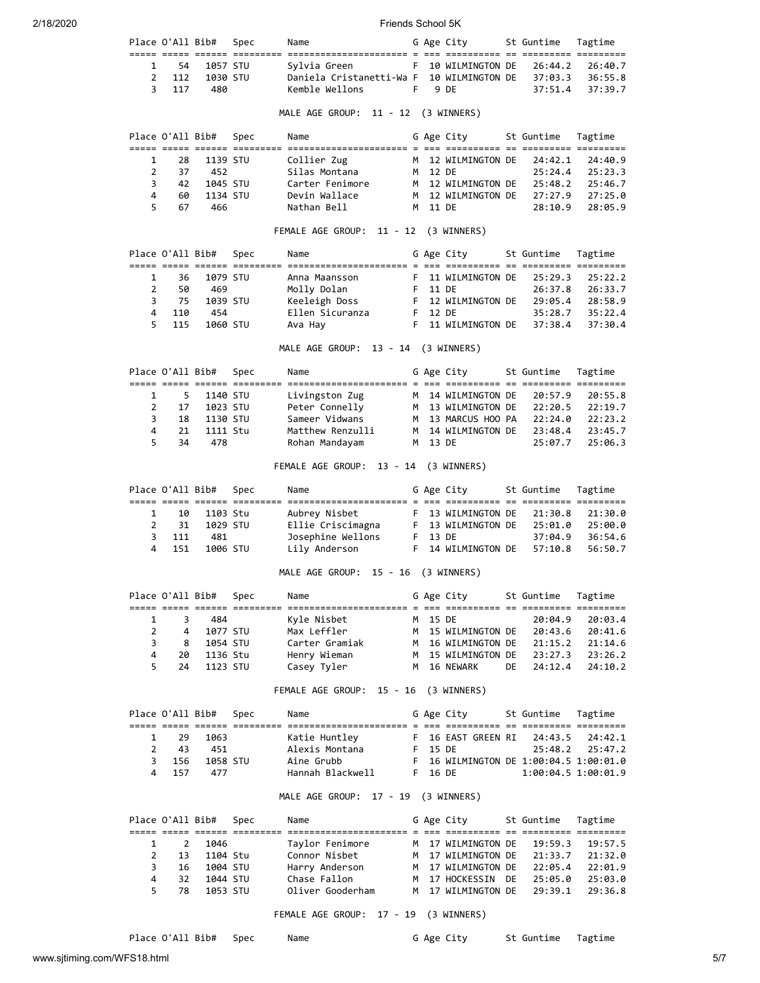|                          | Place O'All Bib# |                                                      | Spec | Name                                                                                                  |          |         | G Age City                                   |    | St Guntime                       | Tagtime                                                                   |
|--------------------------|------------------|------------------------------------------------------|------|-------------------------------------------------------------------------------------------------------|----------|---------|----------------------------------------------|----|----------------------------------|---------------------------------------------------------------------------|
| 1<br>$\overline{2}$<br>3 | 54<br>112<br>117 | ===== ===== ====== ==<br>1057 STU<br>1030 STU<br>480 |      | Sylvia Green<br>Daniela Cristanetti-Wa F<br>Kemble Wellons                                            | F.<br>F. |         | 10 WILMINGTON DE<br>10 WILMINGTON DE<br>9 DE |    | 26:44.2<br>37:03.3<br>37:51.4    | 26:40.7<br>36:55.8<br>37:39.7                                             |
|                          |                  |                                                      |      | MALE AGE GROUP: 11 - 12 (3 WINNERS)                                                                   |          |         |                                              |    |                                  |                                                                           |
|                          | Place O'All Bib# |                                                      | Spec | Name                                                                                                  |          |         | G Age City                                   |    | St Guntime                       | Tagtime                                                                   |
| 1                        | 28               | 1139 STU                                             |      | <u>soor aada aadaa aadaddaa aadaddaddaddaddada a ah aadaddada oo aadaddaa aadaddad</u><br>Collier Zug |          |         | M 12 WILMINGTON DE                           |    | 24:42.1                          | 24:40.9                                                                   |
| $\overline{2}$           | 37               | 452                                                  |      | Silas Montana                                                                                         |          | M 12 DE |                                              |    | 25:24.4                          | 25:23.3                                                                   |
| 3                        | 42               | 1045 STU                                             |      | Carter Fenimore                                                                                       |          |         | M 12 WILMINGTON DE                           |    | 25:48.2                          | 25:46.7                                                                   |
| 4                        | 60               | 1134 STU                                             |      | Devin Wallace                                                                                         |          |         | M 12 WILMINGTON DE                           |    | 27:27.9                          | 27:25.0                                                                   |
| 5                        | 67               | 466                                                  |      | Nathan Bell                                                                                           |          | M 11 DE |                                              |    | 28:10.9                          | 28:05.9                                                                   |
|                          |                  |                                                      |      | FEMALE AGE GROUP: 11 - 12 (3 WINNERS)                                                                 |          |         |                                              |    |                                  |                                                                           |
|                          | Place O'All Bib# |                                                      | Spec | Name                                                                                                  |          |         | G Age City                                   |    | St Guntime                       | Tagtime                                                                   |
| 1                        | 36               | 1079 STU                                             |      | Anna Maansson                                                                                         | F.       |         | 11 WILMINGTON DE                             |    | 25:29.3                          | 25:22.2                                                                   |
| $\overline{2}$           | 50               | 469                                                  |      | Molly Dolan                                                                                           | F.       | 11 DE   |                                              |    | 26:37.8                          | 26:33.7                                                                   |
| 3                        | 75               | 1039 STU                                             |      | Keeleigh Doss                                                                                         | F.       |         | 12 WILMINGTON DE                             |    | 29:05.4                          | 28:58.9                                                                   |
| 4<br>5                   | 110<br>115       | 454<br>1060 STU                                      |      | Ellen Sicuranza<br>Ava Hay                                                                            | F<br>F.  |         | 12 DE<br>11 WILMINGTON DE                    |    | 35:28.7<br>37:38.4               | 35:22.4<br>37:30.4                                                        |
|                          |                  |                                                      |      |                                                                                                       |          |         |                                              |    |                                  |                                                                           |
|                          |                  |                                                      |      | MALE AGE GROUP: 13 - 14 (3 WINNERS)                                                                   |          |         |                                              |    |                                  |                                                                           |
|                          | Place O'All Bib# |                                                      | Spec | Name<br>title colle colle colleges collections (collection i se collection is collecte collectio      |          |         | G Age City                                   |    | St Guntime                       | Tagtime                                                                   |
| 1                        | 5                | 1140 STU                                             |      | Livingston Zug                                                                                        |          |         | M 14 WILMINGTON DE                           |    | 20:57.9                          | 20:55.8                                                                   |
| $\overline{2}$           | 17               | 1023 STU                                             |      | Peter Connelly                                                                                        |          |         | M 13 WILMINGTON DE                           |    | 22:20.5                          | 22:19.7                                                                   |
| 3                        | 18               | 1130 STU                                             |      | Sameer Vidwans                                                                                        |          |         | M 13 MARCUS HOO PA                           |    | 22:24.0                          | 22:23.2                                                                   |
| 4                        | 21               | 1111 Stu                                             |      | Matthew Renzulli                                                                                      |          |         | M 14 WILMINGTON DE                           |    | 23:48.4                          | 23:45.7                                                                   |
| 5                        | 34               | 478                                                  |      | Rohan Mandayam                                                                                        |          | M 13 DE |                                              |    | 25:07.7                          | 25:06.3                                                                   |
|                          |                  |                                                      |      |                                                                                                       |          |         |                                              |    |                                  |                                                                           |
|                          |                  |                                                      |      | FEMALE AGE GROUP:                                                                                     |          |         | 13 - 14 (3 WINNERS)                          |    |                                  |                                                                           |
|                          | Place O'All Bib# |                                                      | Spec | Name                                                                                                  |          |         | G Age City                                   |    | St Guntime                       | Tagtime                                                                   |
| 1                        | 10               | 1103 Stu                                             |      |                                                                                                       |          |         | F 13 WILMINGTON DE                           |    | 21:30.8                          | 21:30.0                                                                   |
| $\overline{2}$           | 31               | 1029 STU                                             |      | Aubrey Nisbet<br>Ellie Criscimagna                                                                    |          |         | F 13 WILMINGTON DE                           |    | 25:01.0                          |                                                                           |
| 3                        | 111              | 481                                                  |      | Josephine Wellons                                                                                     | F.       |         | 13 DE                                        |    | 37:04.9                          |                                                                           |
| 4                        | 151              | 1006 STU                                             |      | Lily Anderson                                                                                         |          |         | F 14 WILMINGTON DE                           |    | 57:10.8                          | 25:00.0<br>36:54.6<br>56:50.7                                             |
|                          |                  |                                                      |      | MALE AGE GROUP: 15 - 16 (3 WINNERS)                                                                   |          |         |                                              |    |                                  |                                                                           |
|                          | Place O'All Bib# |                                                      | Spec | Name                                                                                                  |          |         | G Age City                                   |    | St Guntime                       | Tagtime                                                                   |
| 1                        | 3                | 484                                                  |      | Kyle Nisbet                                                                                           |          | M 15 DE |                                              |    | 20:04.9                          |                                                                           |
| $\overline{2}$           | 4                | 1077 STU                                             |      | Max Leffler                                                                                           |          |         | M 15 WILMINGTON DE                           |    | 20:43.6                          |                                                                           |
| 3                        | 8                | 1054 STU                                             |      | Carter Gramiak                                                                                        | M        |         | 16 WILMINGTON DE                             |    | 21:15.2                          |                                                                           |
| 4                        | 20               | 1136 Stu                                             |      | Henry Wieman                                                                                          |          |         | M 15 WILMINGTON DE                           |    | 23:27.3                          |                                                                           |
| 5                        | 24               | 1123 STU                                             |      | Casey Tyler                                                                                           |          |         | M 16 NEWARK                                  | DE | 24:12.4                          |                                                                           |
|                          |                  |                                                      |      | FEMALE AGE GROUP:                                                                                     |          |         | 15 - 16 (3 WINNERS)                          |    |                                  |                                                                           |
|                          | Place O'All Bib# |                                                      | Spec | Name                                                                                                  |          |         | G Age City                                   |    | St Guntime                       | Tagtime                                                                   |
| 1                        | 29               | 1063                                                 |      | Katie Huntley                                                                                         |          |         | F 16 EAST GREEN RI                           |    | 24:43.5                          |                                                                           |
| $\overline{2}$           | 43               | 451                                                  |      | Alexis Montana                                                                                        | F.       |         | 15 DE                                        |    | 25:48.2                          |                                                                           |
| 3                        | 156              | 1058 STU                                             |      | Aine Grubb                                                                                            | F.       |         | 16 WILMINGTON DE 1:00:04.5 1:00:01.0         |    |                                  |                                                                           |
| 4                        | 157              | 477                                                  |      | Hannah Blackwell                                                                                      |          | F 16 DE |                                              |    | 1:00:04.5 1:00:01.9              | 20:03.4<br>20:41.6<br>21:14.6<br>23:26.2<br>24:10.2<br>24:42.1<br>25:47.2 |
|                          |                  |                                                      |      | MALE AGE GROUP: 17 - 19 (3 WINNERS)                                                                   |          |         |                                              |    |                                  |                                                                           |
|                          | Place O'All Bib# |                                                      | Spec | Name                                                                                                  |          |         | G Age City                                   |    | St Guntime                       | Tagtime                                                                   |
|                          |                  | ===== ===== ====== ==;                               |      |                                                                                                       |          |         |                                              |    | ========= == ========= ========= |                                                                           |
| 1                        | 2                | 1046                                                 |      | Taylor Fenimore                                                                                       |          |         | M 17 WILMINGTON DE                           |    | 19:59.3                          |                                                                           |
| 2<br>3                   | 13<br>16         | 1104 Stu                                             |      | Connor Nisbet                                                                                         |          |         | M 17 WILMINGTON DE                           |    | 21:33.7                          | 19:57.5<br>21:32.0<br>22:01.9                                             |
| 4                        | 32               | 1004 STU<br>1044 STU                                 |      | Harry Anderson<br>Chase Fallon                                                                        |          |         | M 17 WILMINGTON DE<br>M 17 HOCKESSIN DE      |    | 22:05.4<br>25:05.0               | 25:03.0                                                                   |

www.sjtiming.com/WFS18.html 5/7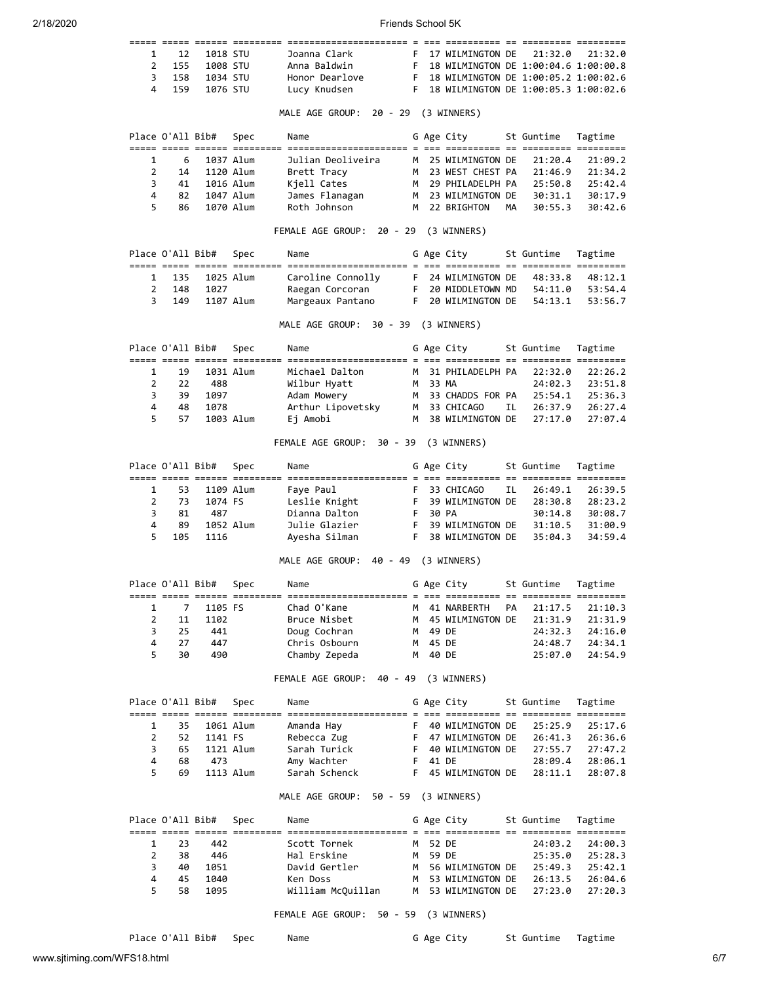| 1                   |                  |             | $=$ $=$ $=$ $=$ |                                       |         |                    |                                          |     | <u> --- ---------- -- --------- --------</u> |                                                                |
|---------------------|------------------|-------------|-----------------|---------------------------------------|---------|--------------------|------------------------------------------|-----|----------------------------------------------|----------------------------------------------------------------|
|                     | 12               | 1018 STU    |                 | Joanna Clark                          | F.      |                    | 17 WILMINGTON DE                         |     | 21:32.0                                      | 21:32.0                                                        |
| $\overline{2}$      | 155              | 1008 STU    |                 | Anna Baldwin                          |         |                    | F 18 WILMINGTON DE 1:00:04.6 1:00:00.8   |     |                                              |                                                                |
| 3                   | 158              | 1034 STU    |                 | Honor Dearlove                        |         |                    | F 18 WILMINGTON DE 1:00:05.2 1:00:02.6   |     |                                              |                                                                |
| 4                   | 159              | 1076 STU    |                 | Lucy Knudsen                          |         |                    | F 18 WILMINGTON DE 1:00:05.3 1:00:02.6   |     |                                              |                                                                |
|                     |                  |             |                 | MALE AGE GROUP: 20 - 29 (3 WINNERS)   |         |                    |                                          |     |                                              |                                                                |
|                     | Place O'All Bib# |             | Spec            | Name                                  |         |                    | G Age City                               |     | St Guntime                                   | Tagtime                                                        |
| 1                   | 6                |             | 1037 Alum       | Julian Deoliveira                     |         |                    | M 25 WILMINGTON DE                       |     | 21:20.4                                      | 21:09.2                                                        |
| $\overline{2}$      | 14               |             | 1120 Alum       | Brett Tracy                           |         |                    | M 23 WEST CHEST PA                       |     | 21:46.9                                      | 21:34.2                                                        |
| 3                   | 41               | 1016 Alum   |                 | Kjell Cates                           |         |                    | M 29 PHILADELPH PA                       |     | 25:50.8                                      | 25:42.4                                                        |
| 4                   | 82               | 1047 Alum   |                 | James Flanagan                        |         |                    | M 23 WILMINGTON DE                       |     | 30:31.1                                      | 30:17.9                                                        |
| 5                   | 86               |             | 1070 Alum       | Roth Johnson                          |         |                    | M 22 BRIGHTON                            | МA  | 30:55.3                                      | 30:42.6                                                        |
|                     |                  |             |                 | FEMALE AGE GROUP: 20 - 29 (3 WINNERS) |         |                    |                                          |     |                                              |                                                                |
|                     | Place O'All Bib# |             | Spec            | Name                                  |         |                    | G Age City                               |     | St Guntime                                   | Tagtime                                                        |
| 1                   | 135              |             | 1025 Alum       | Caroline Connolly                     |         |                    | F 24 WILMINGTON DE                       |     | 48:33.8                                      | 48:12.1                                                        |
| $\overline{2}$      | 148              | 1027        |                 | Raegan Corcoran                       |         |                    | F 20 MIDDLETOWN MD                       |     | 54:11.0                                      | 53:54.4                                                        |
| 3                   | 149              |             | 1107 Alum       | Margeaux Pantano                      |         |                    | F 20 WILMINGTON DE                       |     | 54:13.1                                      | 53:56.7                                                        |
|                     |                  |             |                 | MALE AGE GROUP: 30 - 39 (3 WINNERS)   |         |                    |                                          |     |                                              |                                                                |
|                     | Place O'All Bib# |             | Spec            | Name                                  |         |                    | G Age City                               |     | St Guntime                                   | Tagtime                                                        |
| $\mathbf{1}$        | 19               |             | 1031 Alum       | Michael Dalton                        |         |                    | M 31 PHILADELPH PA                       |     | 22:32.0                                      | 22:26.2                                                        |
| $\overline{2}$      | 22               | -488        |                 | Wilbur Hyatt                          |         | M 33 MA            |                                          |     | 24:02.3                                      | 23:51.8                                                        |
| 3                   | 39               | 1097        |                 | Adam Mowery                           |         |                    | M 33 CHADDS FOR PA                       |     | 25:54.1                                      | 25:36.3                                                        |
| 4                   | 48               | 1078        |                 | Arthur Lipovetsky                     |         |                    | M 33 CHICAGO                             | IL. | 26:37.9                                      | 26:27.4                                                        |
| 5                   | 57               |             | 1003 Alum       | Ej Amobi                              |         |                    | M 38 WILMINGTON DE                       |     | 27:17.0                                      | 27:07.4                                                        |
|                     |                  |             |                 | FEMALE AGE GROUP: 30 - 39 (3 WINNERS) |         |                    |                                          |     |                                              |                                                                |
|                     | Place O'All Bib# |             | Spec            | Name                                  |         |                    | G Age City                               |     | St Guntime                                   | Tagtime                                                        |
| 1                   | 53               |             | 1109 Alum       | Faye Paul                             |         |                    | F 33 CHICAGO                             | IL. | 26:49.1                                      | 26:39.5                                                        |
|                     |                  |             |                 | Leslie Knight                         | F.      |                    | 39 WILMINGTON DE                         |     | 28:30.8                                      | 28:23.2                                                        |
|                     |                  |             |                 |                                       |         |                    |                                          |     |                                              |                                                                |
| $\overline{2}$      | 73               | 1074 FS     |                 |                                       |         |                    |                                          |     |                                              |                                                                |
| 3<br>4              | 81<br>89         | 487         | 1052 Alum       | Dianna Dalton<br>Julie Glazier        | F.<br>F | 30 PA              | 39 WILMINGTON DE                         |     | 30:14.8<br>31:10.5                           |                                                                |
| 5                   | 105              | 1116        |                 | Ayesha Silman                         |         |                    | F 38 WILMINGTON DE                       |     | 35:04.3                                      | 30:08.7<br>31:00.9<br>34:59.4                                  |
|                     |                  |             |                 | MALE AGE GROUP: 40 - 49 (3 WINNERS)   |         |                    |                                          |     |                                              |                                                                |
|                     | Place O'All Bib# |             | Spec            | Name                                  |         |                    | G Age City                               |     | St Guntime                                   | Tagtime                                                        |
|                     |                  |             |                 |                                       |         |                    |                                          |     |                                              |                                                                |
| 1                   | 7                | 1105 FS     |                 | Chad O'Kane                           |         |                    | M 41 NARBERTH                            | PA  | 21:17.5                                      | 21:10.3                                                        |
| 2                   | 11               | 1102        |                 | Bruce Nisbet                          |         |                    | M 45 WILMINGTON DE                       |     | 21:31.9                                      |                                                                |
| 3                   | 25               | 441         |                 | Doug Cochran                          |         | M 49 DE            |                                          |     | 24:32.3                                      |                                                                |
| 4<br>5              | 27<br>30         | 447<br>490  |                 | Chris Osbourn<br>Chamby Zepeda        |         | M 45 DE<br>M 40 DE |                                          |     | 24:48.7<br>25:07.0                           |                                                                |
|                     |                  |             |                 | FEMALE AGE GROUP: 40 - 49 (3 WINNERS) |         |                    |                                          |     |                                              |                                                                |
|                     | Place O'All Bib# |             | Spec            | Name                                  |         |                    | G Age City                               |     | St Guntime                                   | Tagtime                                                        |
| 1                   | 35               |             | 1061 Alum       | Amanda Hay                            |         |                    | F 40 WILMINGTON DE                       |     | 25:25.9                                      |                                                                |
| $\overline{2}$      | 52               | 1141 FS     |                 | Rebecca Zug                           |         |                    | F 47 WILMINGTON DE                       |     | 26:41.3                                      | 21:31.9<br>24:16.0<br>24:34.1<br>24:54.9<br>25:17.6<br>26:36.6 |
| 3                   | 65               | 1121 Alum   |                 | Sarah Turick                          |         |                    | F 40 WILMINGTON DE                       |     | 27:55.7                                      | 27:47.2                                                        |
| 4                   | 68               | 473         |                 | Amy Wachter                           |         | F 41 DE            |                                          |     | 28:09.4                                      | 28:06.1                                                        |
| 5                   | 69               |             | 1113 Alum       | Sarah Schenck                         |         |                    | F 45 WILMINGTON DE                       |     | 28:11.1                                      | 28:07.8                                                        |
|                     |                  |             |                 | MALE AGE GROUP: 50 - 59 (3 WINNERS)   |         |                    |                                          |     |                                              |                                                                |
|                     | Place O'All Bib# |             | Spec            | Name                                  |         |                    | G Age City                               |     | St Guntime                                   | Tagtime                                                        |
| 1                   |                  |             |                 |                                       |         |                    |                                          |     |                                              |                                                                |
|                     | 23               | 442         |                 | Scott Tornek                          | M .     | 52 DE              |                                          |     | 24:03.2                                      | 24:00.3                                                        |
| $\overline{2}$<br>3 | 38<br>40         | 446<br>1051 |                 | Hal Erskine<br>David Gertler          |         | M 59 DE            |                                          |     | 25:35.0<br>25:49.3                           | 25:28.3<br>25:42.1                                             |
| 4                   | 45               | 1040        |                 | Ken Doss                              |         |                    | M 56 WILMINGTON DE<br>M 53 WILMINGTON DE |     | 26:13.5                                      | 26:04.6                                                        |

FEMALE AGE GROUP: 50 - 59 (3 WINNERS)